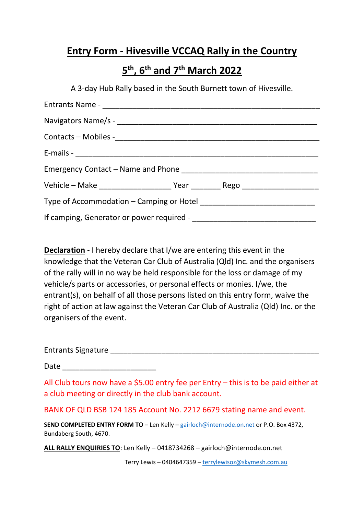#### **Entry Form - Hivesville VCCAQ Rally in the Country**

## **5 th, 6th and 7th March 2022**

A 3-day Hub Rally based in the South Burnett town of Hivesville.

**Declaration** - I hereby declare that I/we are entering this event in the knowledge that the Veteran Car Club of Australia (Qld) Inc. and the organisers of the rally will in no way be held responsible for the loss or damage of my vehicle/s parts or accessories, or personal effects or monies. I/we, the entrant(s), on behalf of all those persons listed on this entry form, waive the right of action at law against the Veteran Car Club of Australia (Qld) Inc. or the organisers of the event.

Entrants Signature \_\_\_\_\_\_\_\_\_\_\_\_\_\_\_\_\_\_\_\_\_\_\_\_\_\_\_\_\_\_\_\_\_\_\_\_\_\_\_\_\_\_\_\_\_\_\_\_\_

Date \_\_\_\_\_\_\_\_\_\_\_\_\_\_\_\_\_\_\_\_\_\_

All Club tours now have a \$5.00 entry fee per Entry – this is to be paid either at a club meeting or directly in the club bank account.

BANK OF QLD BSB 124 185 Account No. 2212 6679 stating name and event.

**SEND COMPLETED ENTRY FORM TO** – Len Kelly – [gairloch@internode.on.net](mailto:gairloch@internode.on.net) or P.O. Box 4372, Bundaberg South, 4670.

**ALL RALLY ENQUIRIES TO**: Len Kelly – 0418734268 – gairloch@internode.on.net

Terry Lewis – 0404647359 – [terrylewisoz@skymesh.com.au](mailto:terrylewisoz@skymesh.com.au)